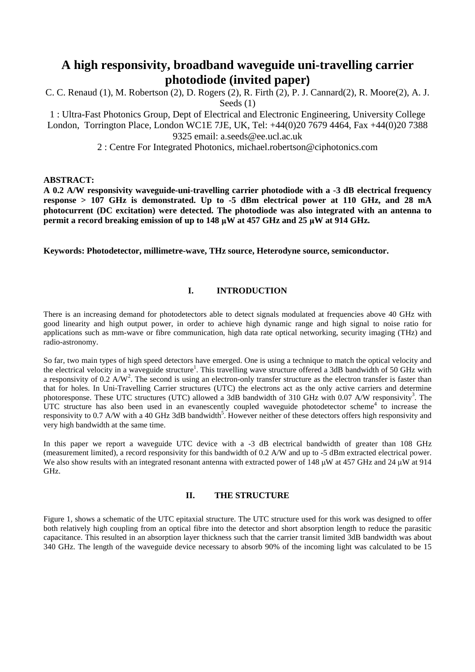# **A high responsivity, broadband waveguide uni-travelling carrier photodiode (invited paper)**

C. C. Renaud (1), M. Robertson (2), D. Rogers (2), R. Firth (2), P. J. Cannard(2), R. Moore(2), A. J. Seeds (1)

1 : Ultra-Fast Photonics Group, Dept of Electrical and Electronic Engineering, University College London, Torrington Place, London WC1E 7JE, UK, Tel: +44(0)20 7679 4464, Fax +44(0)20 7388 9325 email: a.seeds@ee.ucl.ac.uk

2 : Centre For Integrated Photonics, michael.robertson@ciphotonics.com

## **ABSTRACT:**

**A 0.2 A/W responsivity waveguide-uni-travelling carrier photodiode with a -3 dB electrical frequency response > 107 GHz is demonstrated. Up to -5 dBm electrical power at 110 GHz, and 28 mA photocurrent (DC excitation) were detected. The photodiode was also integrated with an antenna to permit a record breaking emission of up to 148 µW at 457 GHz and 25 µW at 914 GHz.** 

**Keywords: Photodetector, millimetre-wave, THz source, Heterodyne source, semiconductor.** 

# **I. INTRODUCTION**

There is an increasing demand for photodetectors able to detect signals modulated at frequencies above 40 GHz with good linearity and high output power, in order to achieve high dynamic range and high signal to noise ratio for applications such as mm-wave or fibre communication, high data rate optical networking, security imaging (THz) and radio-astronomy.

So far, two main types of high speed detectors have emerged. One is using a technique to match the optical velocity and the electrical velocity in a waveguide structure<sup>1</sup>. This travelling wave structure offered a 3dB bandwidth of 50 GHz with a responsivity of 0.2  $A/W^2$ . The second is using an electron-only transfer structure as the electron transfer is faster than that for holes. In Uni-Travelling Carrier structures (UTC) the electrons act as the only active carriers and determine photoresponse. These UTC structures (UTC) allowed a 3dB bandwidth of 310 GHz with 0.07 A/W responsivity<sup>3</sup>. The UTC structure has also been used in an evanescently coupled waveguide photodetector scheme<sup>4</sup> to increase the responsivity to 0.7 A/W with a 40 GHz 3dB bandwidth<sup>5</sup>. However neither of these detectors offers high responsivity and very high bandwidth at the same time.

In this paper we report a waveguide UTC device with a -3 dB electrical bandwidth of greater than 108 GHz (measurement limited), a record responsivity for this bandwidth of 0.2 A/W and up to -5 dBm extracted electrical power. We also show results with an integrated resonant antenna with extracted power of 148  $\mu$ W at 457 GHz and 24  $\mu$ W at 914 GHz.

# **II. THE STRUCTURE**

Figure 1, shows a schematic of the UTC epitaxial structure. The UTC structure used for this work was designed to offer both relatively high coupling from an optical fibre into the detector and short absorption length to reduce the parasitic capacitance. This resulted in an absorption layer thickness such that the carrier transit limited 3dB bandwidth was about 340 GHz. The length of the waveguide device necessary to absorb 90% of the incoming light was calculated to be 15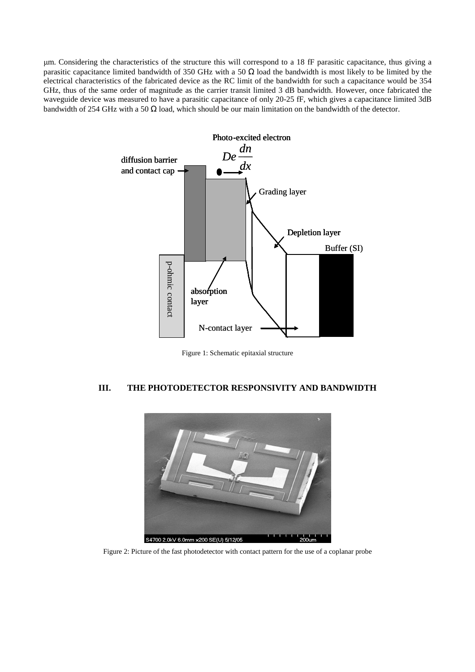m. Considering the characteristics of the structure this will correspond to a 18 fF parasitic capacitance, thus giving a parasitic capacitance limited bandwidth of 350 GHz with a 50  $\Omega$  load the bandwidth is most likely to be limited by the electrical characteristics of the fabricated device as the RC limit of the bandwidth for such a capacitance would be 354 GHz, thus of the same order of magnitude as the carrier transit limited 3 dB bandwidth. However, once fabricated the waveguide device was measured to have a parasitic capacitance of only 20-25 fF, which gives a capacitance limited 3dB bandwidth of 254 GHz with a 50  $\Omega$  load, which should be our main limitation on the bandwidth of the detector.



Figure 1: Schematic epitaxial structure

### **III. THE PHOTODETECTOR RESPONSIVITY AND BANDWIDTH**



Figure 2: Picture of the fast photodetector with contact pattern for the use of a coplanar probe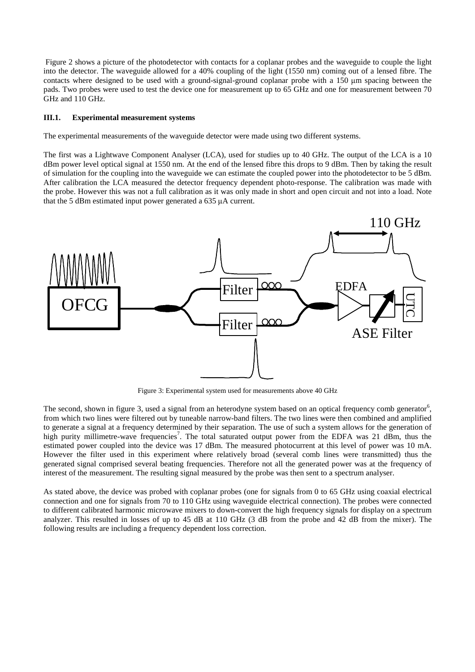Figure 2 shows a picture of the photodetector with contacts for a coplanar probes and the waveguide to couple the light into the detector. The waveguide allowed for a 40% coupling of the light (1550 nm) coming out of a lensed fibre. The contacts where designed to be used with a ground-signal-ground coplanar probe with a 150 m spacing between the pads. Two probes were used to test the device one for measurement up to 65 GHz and one for measurement between 70 GHz and 110 GHz.

#### **III.1. Experimental measurement systems**

The experimental measurements of the waveguide detector were made using two different systems.

The first was a Lightwave Component Analyser (LCA), used for studies up to 40 GHz. The output of the LCA is a 10 dBm power level optical signal at 1550 nm. At the end of the lensed fibre this drops to 9 dBm. Then by taking the result of simulation for the coupling into the waveguide we can estimate the coupled power into the photodetector to be 5 dBm. After calibration the LCA measured the detector frequency dependent photo-response. The calibration was made with the probe. However this was not a full calibration as it was only made in short and open circuit and not into a load. Note that the 5 dBm estimated input power generated a 635 A current.



Figure 3: Experimental system used for measurements above 40 GHz

The second, shown in figure 3, used a signal from an heterodyne system based on an optical frequency comb generator<sup>6</sup>, from which two lines were filtered out by tuneable narrow-band filters. The two lines were then combined and amplified to generate a signal at a frequency determined by their separation. The use of such a system allows for the generation of high purity millimetre-wave frequencies<sup>7</sup>. The total saturated output power from the EDFA was 21 dBm, thus the estimated power coupled into the device was 17 dBm. The measured photocurrent at this level of power was 10 mA. However the filter used in this experiment where relatively broad (several comb lines were transmitted) thus the generated signal comprised several beating frequencies. Therefore not all the generated power was at the frequency of interest of the measurement. The resulting signal measured by the probe was then sent to a spectrum analyser.

As stated above, the device was probed with coplanar probes (one for signals from 0 to 65 GHz using coaxial electrical connection and one for signals from 70 to 110 GHz using waveguide electrical connection). The probes were connected to different calibrated harmonic microwave mixers to down-convert the high frequency signals for display on a spectrum analyzer. This resulted in losses of up to 45 dB at 110 GHz (3 dB from the probe and 42 dB from the mixer). The following results are including a frequency dependent loss correction.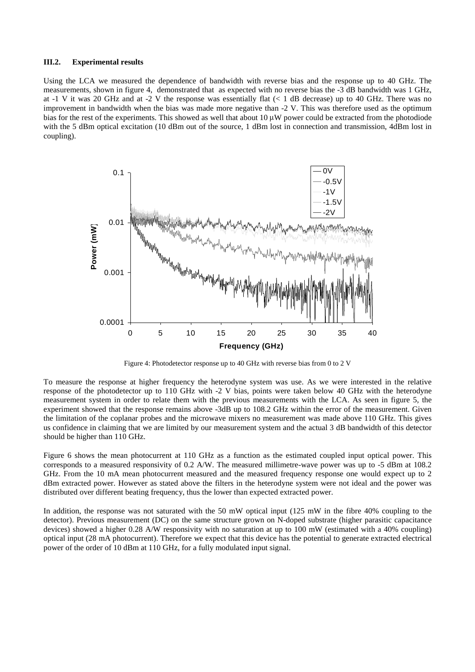## **III.2. Experimental results**

Using the LCA we measured the dependence of bandwidth with reverse bias and the response up to 40 GHz. The measurements, shown in figure 4, demonstrated that as expected with no reverse bias the -3 dB bandwidth was 1 GHz, at -1 V it was 20 GHz and at -2 V the response was essentially flat (< 1 dB decrease) up to 40 GHz. There was no improvement in bandwidth when the bias was made more negative than -2 V. This was therefore used as the optimum bias for the rest of the experiments. This showed as well that about  $10 \mu W$  power could be extracted from the photodiode with the 5 dBm optical excitation (10 dBm out of the source, 1 dBm lost in connection and transmission, 4dBm lost in coupling).



Figure 4: Photodetector response up to 40 GHz with reverse bias from 0 to 2 V

To measure the response at higher frequency the heterodyne system was use. As we were interested in the relative response of the photodetector up to 110 GHz with -2 V bias, points were taken below 40 GHz with the heterodyne measurement system in order to relate them with the previous measurements with the LCA. As seen in figure 5, the experiment showed that the response remains above -3dB up to 108.2 GHz within the error of the measurement. Given the limitation of the coplanar probes and the microwave mixers no measurement was made above 110 GHz. This gives us confidence in claiming that we are limited by our measurement system and the actual 3 dB bandwidth of this detector should be higher than 110 GHz.

Figure 6 shows the mean photocurrent at 110 GHz as a function as the estimated coupled input optical power. This corresponds to a measured responsivity of 0.2 A/W. The measured millimetre-wave power was up to -5 dBm at 108.2 GHz. From the 10 mA mean photocurrent measured and the measured frequency response one would expect up to 2 dBm extracted power. However as stated above the filters in the heterodyne system were not ideal and the power was distributed over different beating frequency, thus the lower than expected extracted power.

In addition, the response was not saturated with the 50 mW optical input (125 mW in the fibre 40% coupling to the detector). Previous measurement (DC) on the same structure grown on N-doped substrate (higher parasitic capacitance devices) showed a higher 0.28 A/W responsivity with no saturation at up to 100 mW (estimated with a 40% coupling) optical input (28 mA photocurrent). Therefore we expect that this device has the potential to generate extracted electrical power of the order of 10 dBm at 110 GHz, for a fully modulated input signal.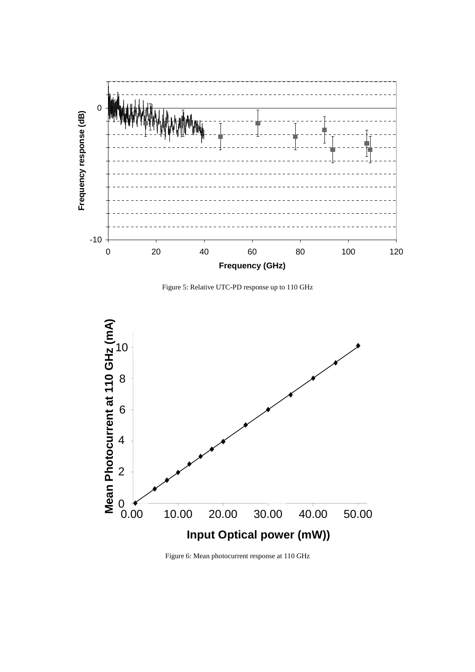

Figure 5: Relative UTC-PD response up to 110 GHz



Figure 6: Mean photocurrent response at 110 GHz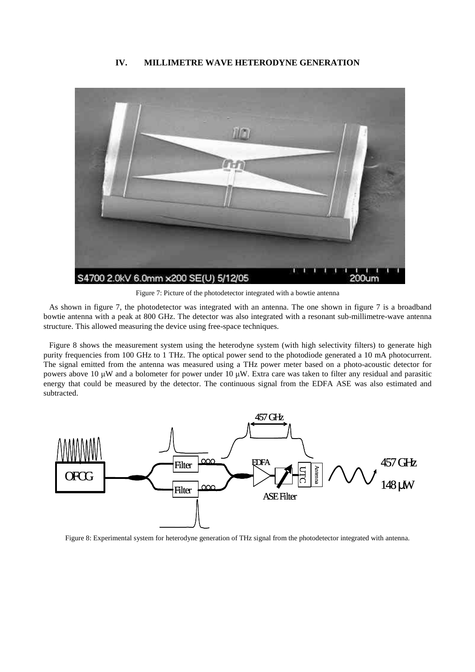#### **IV. MILLIMETRE WAVE HETERODYNE GENERATION**



Figure 7: Picture of the photodetector integrated with a bowtie antenna

As shown in figure 7, the photodetector was integrated with an antenna. The one shown in figure 7 is a broadband bowtie antenna with a peak at 800 GHz. The detector was also integrated with a resonant sub-millimetre-wave antenna structure. This allowed measuring the device using free-space techniques.

Figure 8 shows the measurement system using the heterodyne system (with high selectivity filters) to generate high purity frequencies from 100 GHz to 1 THz. The optical power send to the photodiode generated a 10 mA photocurrent. The signal emitted from the antenna was measured using a THz power meter based on a photo-acoustic detector for powers above 10  $\mu$ W and a bolometer for power under 10  $\mu$ W. Extra care was taken to filter any residual and parasitic energy that could be measured by the detector. The continuous signal from the EDFA ASE was also estimated and subtracted.



Figure 8: Experimental system for heterodyne generation of THz signal from the photodetector integrated with antenna.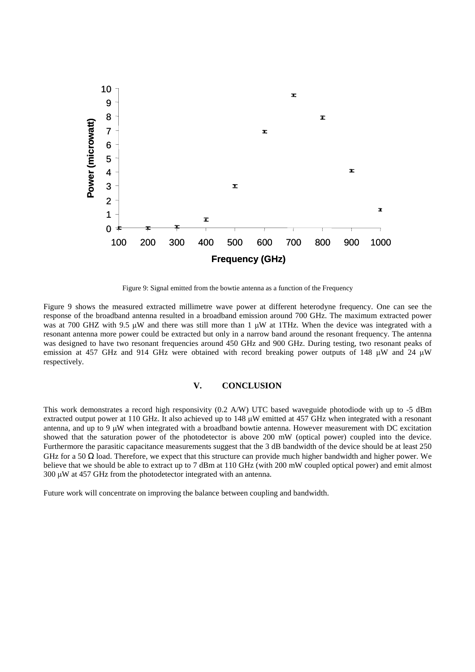

Figure 9: Signal emitted from the bowtie antenna as a function of the Frequency

Figure 9 shows the measured extracted millimetre wave power at different heterodyne frequency. One can see the response of the broadband antenna resulted in a broadband emission around 700 GHz. The maximum extracted power was at 700 GHZ with 9.5  $\mu$ W and there was still more than 1  $\mu$ W at 1THz. When the device was integrated with a resonant antenna more power could be extracted but only in a narrow band around the resonant frequency. The antenna was designed to have two resonant frequencies around 450 GHz and 900 GHz. During testing, two resonant peaks of emission at 457 GHz and 914 GHz were obtained with record breaking power outputs of 148  $\mu$ W and 24  $\mu$ W respectively.

#### **V. CONCLUSION**

This work demonstrates a record high responsivity (0.2 A/W) UTC based waveguide photodiode with up to -5 dBm extracted output power at 110 GHz. It also achieved up to 148 uW emitted at 457 GHz when integrated with a resonant antenna, and up to 9  $\mu$ W when integrated with a broadband bowtie antenna. However measurement with DC excitation showed that the saturation power of the photodetector is above 200 mW (optical power) coupled into the device. Furthermore the parasitic capacitance measurements suggest that the 3 dB bandwidth of the device should be at least 250 GHz for a 50 Ω load. Therefore, we expect that this structure can provide much higher bandwidth and higher power. We believe that we should be able to extract up to 7 dBm at 110 GHz (with 200 mW coupled optical power) and emit almost  $300 \mu W$  at 457 GHz from the photodetector integrated with an antenna.

Future work will concentrate on improving the balance between coupling and bandwidth.